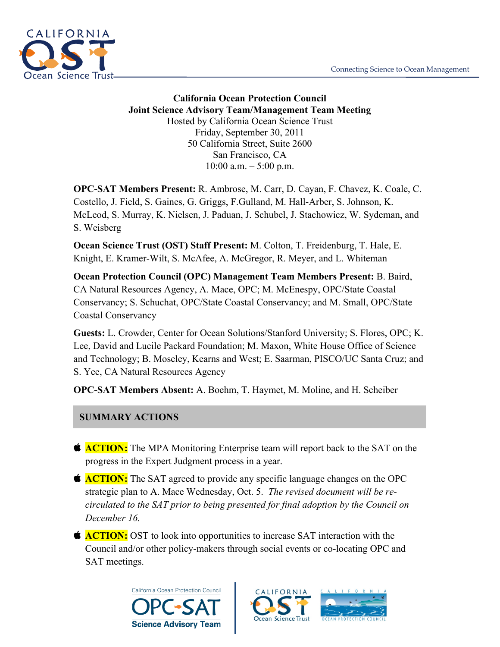

**California Ocean Protection Council Joint Science Advisory Team/Management Team Meeting** Hosted by California Ocean Science Trust Friday, September 30, 2011 50 California Street, Suite 2600 San Francisco, CA  $10:00$  a.m.  $-5:00$  p.m.

**OPC-SAT Members Present:** R. Ambrose, M. Carr, D. Cayan, F. Chavez, K. Coale, C. Costello, J. Field, S. Gaines, G. Griggs, F.Gulland, M. Hall-Arber, S. Johnson, K. McLeod, S. Murray, K. Nielsen, J. Paduan, J. Schubel, J. Stachowicz, W. Sydeman, and S. Weisberg

**Ocean Science Trust (OST) Staff Present:** M. Colton, T. Freidenburg, T. Hale, E. Knight, E. Kramer-Wilt, S. McAfee, A. McGregor, R. Meyer, and L. Whiteman

**Ocean Protection Council (OPC) Management Team Members Present:** B. Baird, CA Natural Resources Agency, A. Mace, OPC; M. McEnespy, OPC/State Coastal Conservancy; S. Schuchat, OPC/State Coastal Conservancy; and M. Small, OPC/State Coastal Conservancy

**Guests:** L. Crowder, Center for Ocean Solutions/Stanford University; S. Flores, OPC; K. Lee, David and Lucile Packard Foundation; M. Maxon, White House Office of Science and Technology; B. Moseley, Kearns and West; E. Saarman, PISCO/UC Santa Cruz; and S. Yee, CA Natural Resources Agency

**OPC-SAT Members Absent:** A. Boehm, T. Haymet, M. Moline, and H. Scheiber

# **SUMMARY ACTIONS**

- **ACTION:** The MPA Monitoring Enterprise team will report back to the SAT on the progress in the Expert Judgment process in a year.
- **ACTION:** The SAT agreed to provide any specific language changes on the OPC strategic plan to A. Mace Wednesday, Oct. 5. *The revised document will be recirculated to the SAT prior to being presented for final adoption by the Council on December 16.*
- **ACTION:** OST to look into opportunities to increase SAT interaction with the Council and/or other policy-makers through social events or co-locating OPC and SAT meetings.



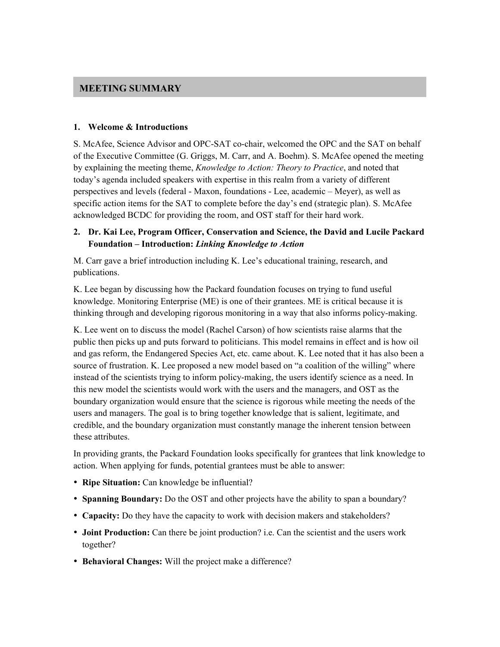#### **MEETING SUMMARY**

#### **1. Welcome & Introductions**

S. McAfee, Science Advisor and OPC-SAT co-chair, welcomed the OPC and the SAT on behalf of the Executive Committee (G. Griggs, M. Carr, and A. Boehm). S. McAfee opened the meeting by explaining the meeting theme, *Knowledge to Action: Theory to Practice*, and noted that today's agenda included speakers with expertise in this realm from a variety of different perspectives and levels (federal - Maxon, foundations - Lee, academic – Meyer), as well as specific action items for the SAT to complete before the day's end (strategic plan). S. McAfee acknowledged BCDC for providing the room, and OST staff for their hard work.

#### **2. Dr. Kai Lee, Program Officer, Conservation and Science, the David and Lucile Packard Foundation – Introduction:** *Linking Knowledge to Action*

M. Carr gave a brief introduction including K. Lee's educational training, research, and publications.

K. Lee began by discussing how the Packard foundation focuses on trying to fund useful knowledge. Monitoring Enterprise (ME) is one of their grantees. ME is critical because it is thinking through and developing rigorous monitoring in a way that also informs policy-making.

K. Lee went on to discuss the model (Rachel Carson) of how scientists raise alarms that the public then picks up and puts forward to politicians. This model remains in effect and is how oil and gas reform, the Endangered Species Act, etc. came about. K. Lee noted that it has also been a source of frustration. K. Lee proposed a new model based on "a coalition of the willing" where instead of the scientists trying to inform policy-making, the users identify science as a need. In this new model the scientists would work with the users and the managers, and OST as the boundary organization would ensure that the science is rigorous while meeting the needs of the users and managers. The goal is to bring together knowledge that is salient, legitimate, and credible, and the boundary organization must constantly manage the inherent tension between these attributes.

In providing grants, the Packard Foundation looks specifically for grantees that link knowledge to action. When applying for funds, potential grantees must be able to answer:

- **Ripe Situation:** Can knowledge be influential?
- **Spanning Boundary:** Do the OST and other projects have the ability to span a boundary?
- **Capacity:** Do they have the capacity to work with decision makers and stakeholders?
- **Joint Production:** Can there be joint production? i.e. Can the scientist and the users work together?
- **Behavioral Changes:** Will the project make a difference?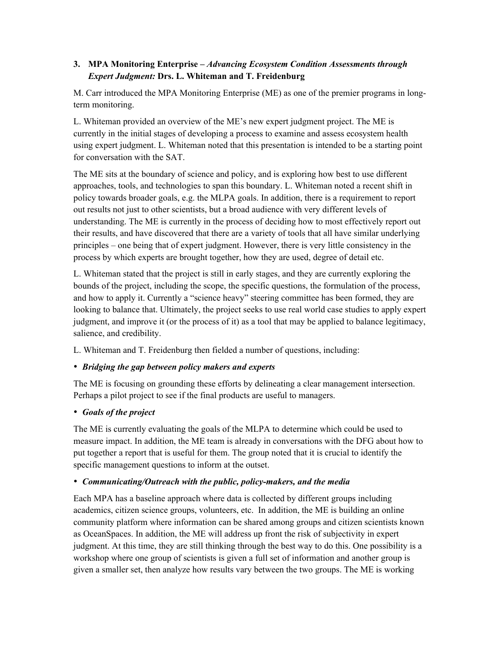## **3. MPA Monitoring Enterprise –** *Advancing Ecosystem Condition Assessments through Expert Judgment:* **Drs. L. Whiteman and T. Freidenburg**

M. Carr introduced the MPA Monitoring Enterprise (ME) as one of the premier programs in longterm monitoring.

L. Whiteman provided an overview of the ME's new expert judgment project. The ME is currently in the initial stages of developing a process to examine and assess ecosystem health using expert judgment. L. Whiteman noted that this presentation is intended to be a starting point for conversation with the SAT.

The ME sits at the boundary of science and policy, and is exploring how best to use different approaches, tools, and technologies to span this boundary. L. Whiteman noted a recent shift in policy towards broader goals, e.g. the MLPA goals. In addition, there is a requirement to report out results not just to other scientists, but a broad audience with very different levels of understanding. The ME is currently in the process of deciding how to most effectively report out their results, and have discovered that there are a variety of tools that all have similar underlying principles – one being that of expert judgment. However, there is very little consistency in the process by which experts are brought together, how they are used, degree of detail etc.

L. Whiteman stated that the project is still in early stages, and they are currently exploring the bounds of the project, including the scope, the specific questions, the formulation of the process, and how to apply it. Currently a "science heavy" steering committee has been formed, they are looking to balance that. Ultimately, the project seeks to use real world case studies to apply expert judgment, and improve it (or the process of it) as a tool that may be applied to balance legitimacy, salience, and credibility.

L. Whiteman and T. Freidenburg then fielded a number of questions, including:

# • *Bridging the gap between policy makers and experts*

The ME is focusing on grounding these efforts by delineating a clear management intersection. Perhaps a pilot project to see if the final products are useful to managers.

# • *Goals of the project*

The ME is currently evaluating the goals of the MLPA to determine which could be used to measure impact. In addition, the ME team is already in conversations with the DFG about how to put together a report that is useful for them. The group noted that it is crucial to identify the specific management questions to inform at the outset.

# • *Communicating/Outreach with the public, policy-makers, and the media*

Each MPA has a baseline approach where data is collected by different groups including academics, citizen science groups, volunteers, etc. In addition, the ME is building an online community platform where information can be shared among groups and citizen scientists known as OceanSpaces. In addition, the ME will address up front the risk of subjectivity in expert judgment. At this time, they are still thinking through the best way to do this. One possibility is a workshop where one group of scientists is given a full set of information and another group is given a smaller set, then analyze how results vary between the two groups. The ME is working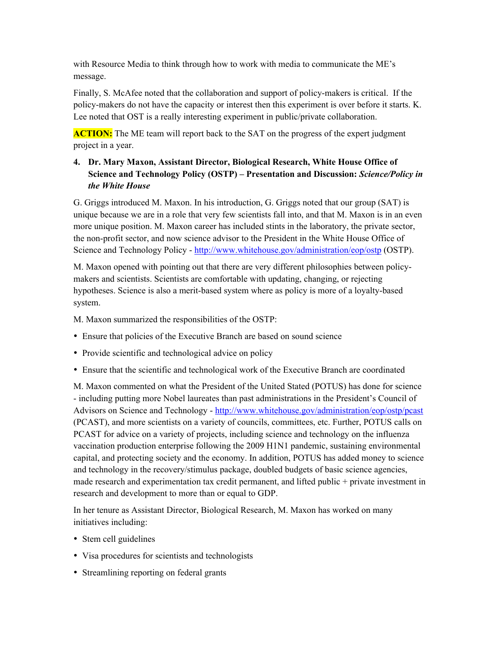with Resource Media to think through how to work with media to communicate the ME's message.

Finally, S. McAfee noted that the collaboration and support of policy-makers is critical. If the policy-makers do not have the capacity or interest then this experiment is over before it starts. K. Lee noted that OST is a really interesting experiment in public/private collaboration.

**ACTION:** The ME team will report back to the SAT on the progress of the expert judgment project in a year.

# **4. Dr. Mary Maxon, Assistant Director, Biological Research, White House Office of Science and Technology Policy (OSTP) – Presentation and Discussion:** *Science/Policy in the White House*

G. Griggs introduced M. Maxon. In his introduction, G. Griggs noted that our group (SAT) is unique because we are in a role that very few scientists fall into, and that M. Maxon is in an even more unique position. M. Maxon career has included stints in the laboratory, the private sector, the non-profit sector, and now science advisor to the President in the White House Office of Science and Technology Policy - http://www.whitehouse.gov/administration/eop/ostp (OSTP).

M. Maxon opened with pointing out that there are very different philosophies between policymakers and scientists. Scientists are comfortable with updating, changing, or rejecting hypotheses. Science is also a merit-based system where as policy is more of a loyalty-based system.

M. Maxon summarized the responsibilities of the OSTP:

- Ensure that policies of the Executive Branch are based on sound science
- Provide scientific and technological advice on policy
- Ensure that the scientific and technological work of the Executive Branch are coordinated

M. Maxon commented on what the President of the United Stated (POTUS) has done for science - including putting more Nobel laureates than past administrations in the President's Council of Advisors on Science and Technology - http://www.whitehouse.gov/administration/eop/ostp/pcast (PCAST), and more scientists on a variety of councils, committees, etc. Further, POTUS calls on PCAST for advice on a variety of projects, including science and technology on the influenza vaccination production enterprise following the 2009 H1N1 pandemic, sustaining environmental capital, and protecting society and the economy. In addition, POTUS has added money to science and technology in the recovery/stimulus package, doubled budgets of basic science agencies, made research and experimentation tax credit permanent, and lifted public + private investment in research and development to more than or equal to GDP.

In her tenure as Assistant Director, Biological Research, M. Maxon has worked on many initiatives including:

- Stem cell guidelines
- Visa procedures for scientists and technologists
- Streamlining reporting on federal grants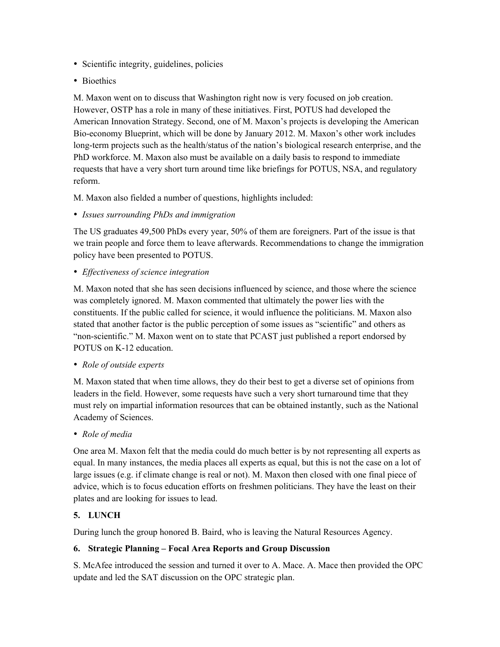- Scientific integrity, guidelines, policies
- Bioethics

M. Maxon went on to discuss that Washington right now is very focused on job creation. However, OSTP has a role in many of these initiatives. First, POTUS had developed the American Innovation Strategy. Second, one of M. Maxon's projects is developing the American Bio-economy Blueprint, which will be done by January 2012. M. Maxon's other work includes long-term projects such as the health/status of the nation's biological research enterprise, and the PhD workforce. M. Maxon also must be available on a daily basis to respond to immediate requests that have a very short turn around time like briefings for POTUS, NSA, and regulatory reform.

M. Maxon also fielded a number of questions, highlights included:

• *Issues surrounding PhDs and immigration*

The US graduates 49,500 PhDs every year, 50% of them are foreigners. Part of the issue is that we train people and force them to leave afterwards. Recommendations to change the immigration policy have been presented to POTUS.

• *Effectiveness of science integration*

M. Maxon noted that she has seen decisions influenced by science, and those where the science was completely ignored. M. Maxon commented that ultimately the power lies with the constituents. If the public called for science, it would influence the politicians. M. Maxon also stated that another factor is the public perception of some issues as "scientific" and others as "non-scientific." M. Maxon went on to state that PCAST just published a report endorsed by POTUS on K-12 education.

• *Role of outside experts*

M. Maxon stated that when time allows, they do their best to get a diverse set of opinions from leaders in the field. However, some requests have such a very short turnaround time that they must rely on impartial information resources that can be obtained instantly, such as the National Academy of Sciences.

• *Role of media*

One area M. Maxon felt that the media could do much better is by not representing all experts as equal. In many instances, the media places all experts as equal, but this is not the case on a lot of large issues (e.g. if climate change is real or not). M. Maxon then closed with one final piece of advice, which is to focus education efforts on freshmen politicians. They have the least on their plates and are looking for issues to lead.

# **5. LUNCH**

During lunch the group honored B. Baird, who is leaving the Natural Resources Agency.

### **6. Strategic Planning – Focal Area Reports and Group Discussion**

S. McAfee introduced the session and turned it over to A. Mace. A. Mace then provided the OPC update and led the SAT discussion on the OPC strategic plan.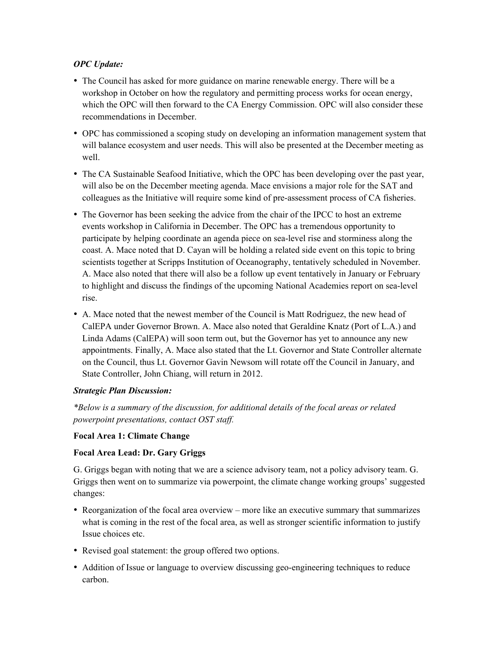### *OPC Update:*

- The Council has asked for more guidance on marine renewable energy. There will be a workshop in October on how the regulatory and permitting process works for ocean energy, which the OPC will then forward to the CA Energy Commission. OPC will also consider these recommendations in December.
- OPC has commissioned a scoping study on developing an information management system that will balance ecosystem and user needs. This will also be presented at the December meeting as well.
- The CA Sustainable Seafood Initiative, which the OPC has been developing over the past year, will also be on the December meeting agenda. Mace envisions a major role for the SAT and colleagues as the Initiative will require some kind of pre-assessment process of CA fisheries.
- The Governor has been seeking the advice from the chair of the IPCC to host an extreme events workshop in California in December. The OPC has a tremendous opportunity to participate by helping coordinate an agenda piece on sea-level rise and storminess along the coast. A. Mace noted that D. Cayan will be holding a related side event on this topic to bring scientists together at Scripps Institution of Oceanography, tentatively scheduled in November. A. Mace also noted that there will also be a follow up event tentatively in January or February to highlight and discuss the findings of the upcoming National Academies report on sea-level rise.
- A. Mace noted that the newest member of the Council is Matt Rodriguez, the new head of CalEPA under Governor Brown. A. Mace also noted that Geraldine Knatz (Port of L.A.) and Linda Adams (CalEPA) will soon term out, but the Governor has yet to announce any new appointments. Finally, A. Mace also stated that the Lt. Governor and State Controller alternate on the Council, thus Lt. Governor Gavin Newsom will rotate off the Council in January, and State Controller, John Chiang, will return in 2012.

### *Strategic Plan Discussion:*

*\*Below is a summary of the discussion, for additional details of the focal areas or related powerpoint presentations, contact OST staff.* 

### **Focal Area 1: Climate Change**

### **Focal Area Lead: Dr. Gary Griggs**

G. Griggs began with noting that we are a science advisory team, not a policy advisory team. G. Griggs then went on to summarize via powerpoint, the climate change working groups' suggested changes:

- Reorganization of the focal area overview more like an executive summary that summarizes what is coming in the rest of the focal area, as well as stronger scientific information to justify Issue choices etc.
- Revised goal statement: the group offered two options.
- Addition of Issue or language to overview discussing geo-engineering techniques to reduce carbon.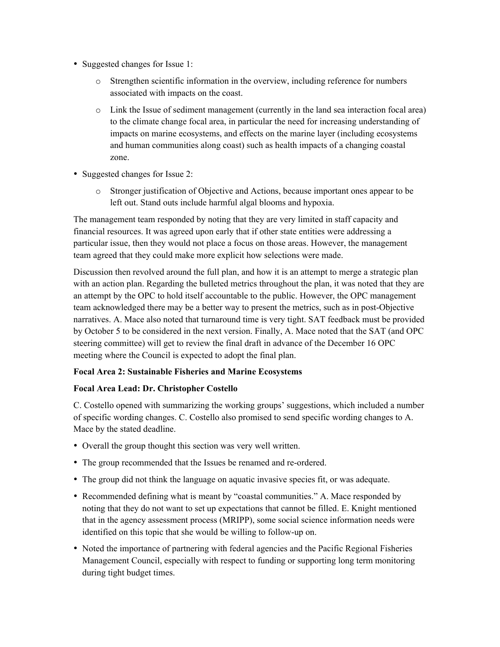- Suggested changes for Issue 1:
	- o Strengthen scientific information in the overview, including reference for numbers associated with impacts on the coast.
	- o Link the Issue of sediment management (currently in the land sea interaction focal area) to the climate change focal area, in particular the need for increasing understanding of impacts on marine ecosystems, and effects on the marine layer (including ecosystems and human communities along coast) such as health impacts of a changing coastal zone.
- Suggested changes for Issue 2:
	- o Stronger justification of Objective and Actions, because important ones appear to be left out. Stand outs include harmful algal blooms and hypoxia.

The management team responded by noting that they are very limited in staff capacity and financial resources. It was agreed upon early that if other state entities were addressing a particular issue, then they would not place a focus on those areas. However, the management team agreed that they could make more explicit how selections were made.

Discussion then revolved around the full plan, and how it is an attempt to merge a strategic plan with an action plan. Regarding the bulleted metrics throughout the plan, it was noted that they are an attempt by the OPC to hold itself accountable to the public. However, the OPC management team acknowledged there may be a better way to present the metrics, such as in post-Objective narratives. A. Mace also noted that turnaround time is very tight. SAT feedback must be provided by October 5 to be considered in the next version. Finally, A. Mace noted that the SAT (and OPC steering committee) will get to review the final draft in advance of the December 16 OPC meeting where the Council is expected to adopt the final plan.

### **Focal Area 2: Sustainable Fisheries and Marine Ecosystems**

### **Focal Area Lead: Dr. Christopher Costello**

C. Costello opened with summarizing the working groups' suggestions, which included a number of specific wording changes. C. Costello also promised to send specific wording changes to A. Mace by the stated deadline.

- Overall the group thought this section was very well written.
- The group recommended that the Issues be renamed and re-ordered.
- The group did not think the language on aquatic invasive species fit, or was adequate.
- Recommended defining what is meant by "coastal communities." A. Mace responded by noting that they do not want to set up expectations that cannot be filled. E. Knight mentioned that in the agency assessment process (MRIPP), some social science information needs were identified on this topic that she would be willing to follow-up on.
- Noted the importance of partnering with federal agencies and the Pacific Regional Fisheries Management Council, especially with respect to funding or supporting long term monitoring during tight budget times.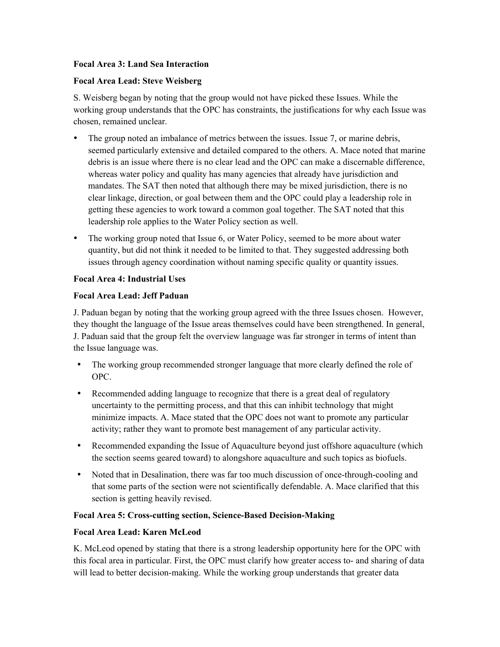#### **Focal Area 3: Land Sea Interaction**

#### **Focal Area Lead: Steve Weisberg**

S. Weisberg began by noting that the group would not have picked these Issues. While the working group understands that the OPC has constraints, the justifications for why each Issue was chosen, remained unclear.

- The group noted an imbalance of metrics between the issues. Issue 7, or marine debris, seemed particularly extensive and detailed compared to the others. A. Mace noted that marine debris is an issue where there is no clear lead and the OPC can make a discernable difference, whereas water policy and quality has many agencies that already have jurisdiction and mandates. The SAT then noted that although there may be mixed jurisdiction, there is no clear linkage, direction, or goal between them and the OPC could play a leadership role in getting these agencies to work toward a common goal together. The SAT noted that this leadership role applies to the Water Policy section as well.
- The working group noted that Issue 6, or Water Policy, seemed to be more about water quantity, but did not think it needed to be limited to that. They suggested addressing both issues through agency coordination without naming specific quality or quantity issues.

#### **Focal Area 4: Industrial Uses**

#### **Focal Area Lead: Jeff Paduan**

J. Paduan began by noting that the working group agreed with the three Issues chosen. However, they thought the language of the Issue areas themselves could have been strengthened. In general, J. Paduan said that the group felt the overview language was far stronger in terms of intent than the Issue language was.

- The working group recommended stronger language that more clearly defined the role of OPC.
- Recommended adding language to recognize that there is a great deal of regulatory uncertainty to the permitting process, and that this can inhibit technology that might minimize impacts. A. Mace stated that the OPC does not want to promote any particular activity; rather they want to promote best management of any particular activity.
- Recommended expanding the Issue of Aquaculture beyond just offshore aquaculture (which the section seems geared toward) to alongshore aquaculture and such topics as biofuels.
- Noted that in Desalination, there was far too much discussion of once-through-cooling and that some parts of the section were not scientifically defendable. A. Mace clarified that this section is getting heavily revised.

#### **Focal Area 5: Cross-cutting section, Science-Based Decision-Making**

### **Focal Area Lead: Karen McLeod**

K. McLeod opened by stating that there is a strong leadership opportunity here for the OPC with this focal area in particular. First, the OPC must clarify how greater access to- and sharing of data will lead to better decision-making. While the working group understands that greater data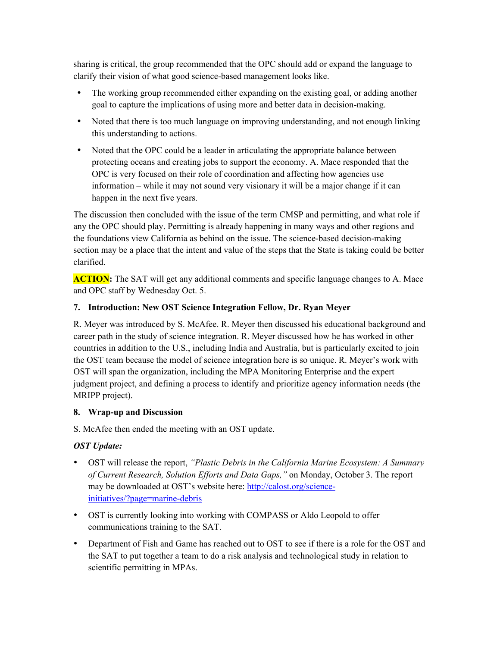sharing is critical, the group recommended that the OPC should add or expand the language to clarify their vision of what good science-based management looks like.

- The working group recommended either expanding on the existing goal, or adding another goal to capture the implications of using more and better data in decision-making.
- Noted that there is too much language on improving understanding, and not enough linking this understanding to actions.
- Noted that the OPC could be a leader in articulating the appropriate balance between protecting oceans and creating jobs to support the economy. A. Mace responded that the OPC is very focused on their role of coordination and affecting how agencies use information – while it may not sound very visionary it will be a major change if it can happen in the next five years.

The discussion then concluded with the issue of the term CMSP and permitting, and what role if any the OPC should play. Permitting is already happening in many ways and other regions and the foundations view California as behind on the issue. The science-based decision-making section may be a place that the intent and value of the steps that the State is taking could be better clarified.

**ACTION:** The SAT will get any additional comments and specific language changes to A. Mace and OPC staff by Wednesday Oct. 5.

## **7. Introduction: New OST Science Integration Fellow, Dr. Ryan Meyer**

R. Meyer was introduced by S. McAfee. R. Meyer then discussed his educational background and career path in the study of science integration. R. Meyer discussed how he has worked in other countries in addition to the U.S., including India and Australia, but is particularly excited to join the OST team because the model of science integration here is so unique. R. Meyer's work with OST will span the organization, including the MPA Monitoring Enterprise and the expert judgment project, and defining a process to identify and prioritize agency information needs (the MRIPP project).

### **8. Wrap-up and Discussion**

S. McAfee then ended the meeting with an OST update.

### *OST Update:*

- OST will release the report, *"Plastic Debris in the California Marine Ecosystem: A Summary of Current Research, Solution Efforts and Data Gaps,"* on Monday, October 3. The report may be downloaded at OST's website here: http://calost.org/scienceinitiatives/?page=marine-debris
- OST is currently looking into working with COMPASS or Aldo Leopold to offer communications training to the SAT.
- Department of Fish and Game has reached out to OST to see if there is a role for the OST and the SAT to put together a team to do a risk analysis and technological study in relation to scientific permitting in MPAs.